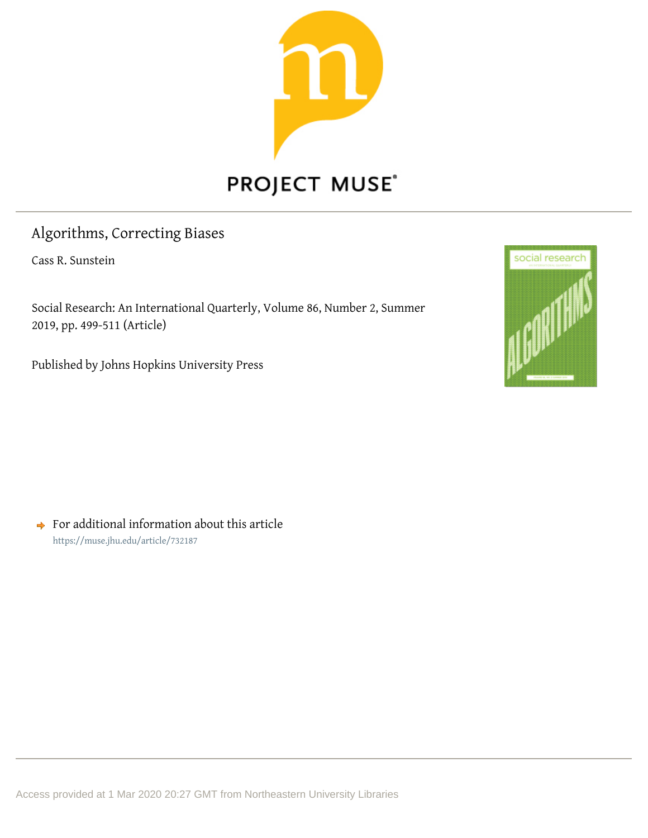

## Algorithms, Correcting Biases

Cass R. Sunstein

Social Research: An International Quarterly, Volume 86, Number 2, Summer 2019, pp. 499-511 (Article)

Published by Johns Hopkins University Press



 $\rightarrow$  For additional information about this article <https://muse.jhu.edu/article/732187>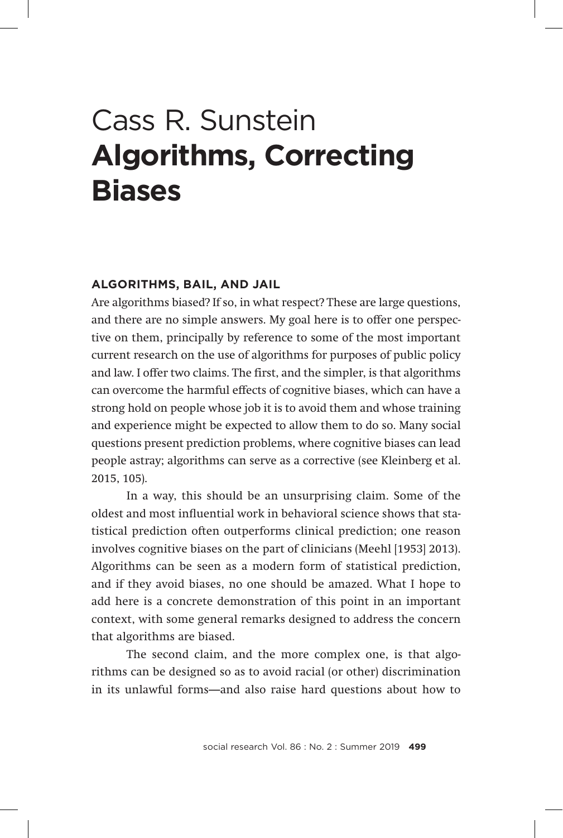# Cass R. Sunstein **Algorithms, Correcting Biases**

#### **ALGORITHMS, BAIL, AND JAIL**

Are algorithms biased? If so, in what respect? These are large questions, and there are no simple answers. My goal here is to offer one perspective on them, principally by reference to some of the most important current research on the use of algorithms for purposes of public policy and law. I offer two claims. The first, and the simpler, is that algorithms can overcome the harmful effects of cognitive biases, which can have a strong hold on people whose job it is to avoid them and whose training and experience might be expected to allow them to do so. Many social questions present prediction problems, where cognitive biases can lead people astray; algorithms can serve as a corrective (see Kleinberg et al. 2015, 105).

In a way, this should be an unsurprising claim. Some of the oldest and most influential work in behavioral science shows that statistical prediction often outperforms clinical prediction; one reason involves cognitive biases on the part of clinicians (Meehl [1953] 2013). Algorithms can be seen as a modern form of statistical prediction, and if they avoid biases, no one should be amazed. What I hope to add here is a concrete demonstration of this point in an important context, with some general remarks designed to address the concern that algorithms are biased.

The second claim, and the more complex one, is that algorithms can be designed so as to avoid racial (or other) discrimination in its unlawful forms—and also raise hard questions about how to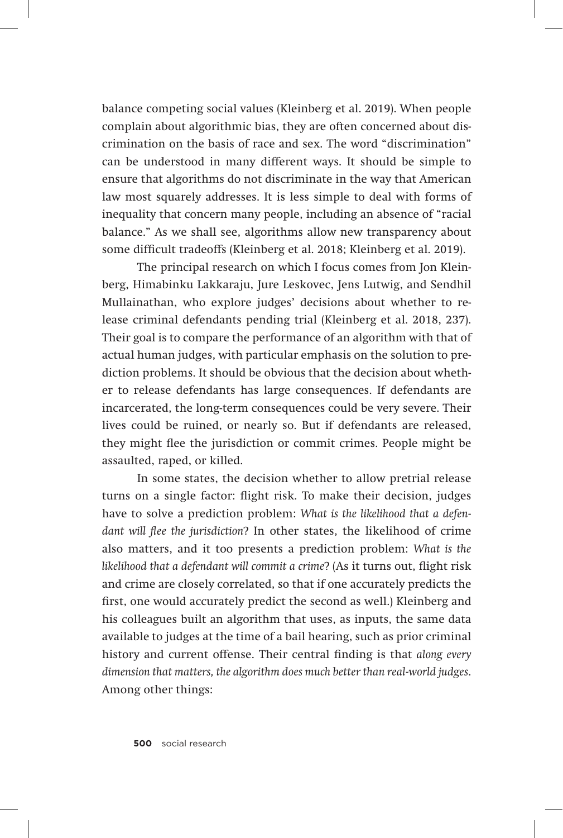balance competing social values (Kleinberg et al. 2019). When people complain about algorithmic bias, they are often concerned about discrimination on the basis of race and sex. The word "discrimination" can be understood in many different ways. It should be simple to ensure that algorithms do not discriminate in the way that American law most squarely addresses. It is less simple to deal with forms of inequality that concern many people, including an absence of "racial balance." As we shall see, algorithms allow new transparency about some difficult tradeoffs (Kleinberg et al. 2018; Kleinberg et al. 2019).

The principal research on which I focus comes from Jon Kleinberg, Himabinku Lakkaraju, Jure Leskovec, Jens Lutwig, and Sendhil Mullainathan, who explore judges' decisions about whether to release criminal defendants pending trial (Kleinberg et al. 2018, 237). Their goal is to compare the performance of an algorithm with that of actual human judges, with particular emphasis on the solution to prediction problems. It should be obvious that the decision about whether to release defendants has large consequences. If defendants are incarcerated, the long-term consequences could be very severe. Their lives could be ruined, or nearly so. But if defendants are released, they might flee the jurisdiction or commit crimes. People might be assaulted, raped, or killed.

In some states, the decision whether to allow pretrial release turns on a single factor: flight risk. To make their decision, judges have to solve a prediction problem: *What is the likelihood that a defendant will flee the jurisdiction*? In other states, the likelihood of crime also matters, and it too presents a prediction problem: *What is the likelihood that a defendant will commit a crime*? (As it turns out, flight risk and crime are closely correlated, so that if one accurately predicts the first, one would accurately predict the second as well.) Kleinberg and his colleagues built an algorithm that uses, as inputs, the same data available to judges at the time of a bail hearing, such as prior criminal history and current offense. Their central finding is that *along every dimension that matters, the algorithm does much better than real-world judges*. Among other things: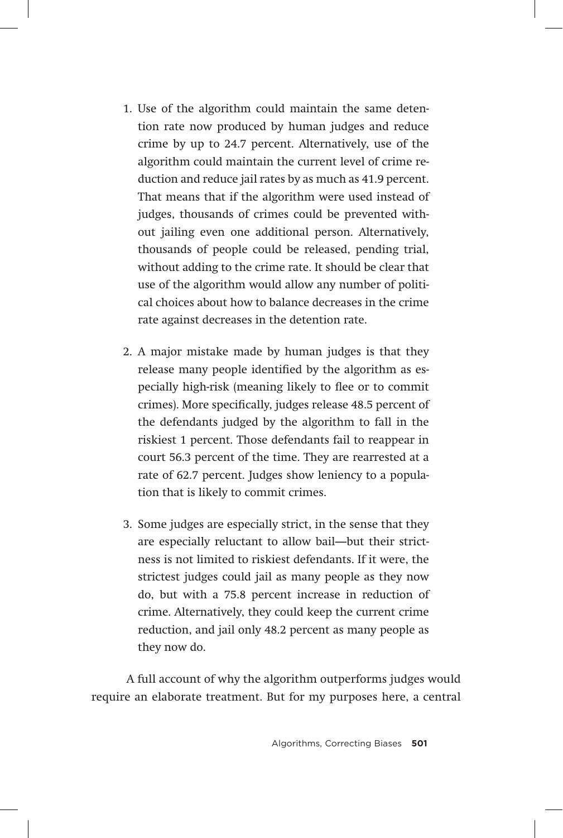- 1. Use of the algorithm could maintain the same detention rate now produced by human judges and reduce crime by up to 24.7 percent. Alternatively, use of the algorithm could maintain the current level of crime reduction and reduce jail rates by as much as 41.9 percent. That means that if the algorithm were used instead of judges, thousands of crimes could be prevented without jailing even one additional person. Alternatively, thousands of people could be released, pending trial, without adding to the crime rate. It should be clear that use of the algorithm would allow any number of political choices about how to balance decreases in the crime rate against decreases in the detention rate.
- 2. A major mistake made by human judges is that they release many people identified by the algorithm as especially high-risk (meaning likely to flee or to commit crimes). More specifically, judges release 48.5 percent of the defendants judged by the algorithm to fall in the riskiest 1 percent. Those defendants fail to reappear in court 56.3 percent of the time. They are rearrested at a rate of 62.7 percent. Judges show leniency to a population that is likely to commit crimes.
- 3. Some judges are especially strict, in the sense that they are especially reluctant to allow bail—but their strictness is not limited to riskiest defendants. If it were, the strictest judges could jail as many people as they now do, but with a 75.8 percent increase in reduction of crime. Alternatively, they could keep the current crime reduction, and jail only 48.2 percent as many people as they now do.

A full account of why the algorithm outperforms judges would require an elaborate treatment. But for my purposes here, a central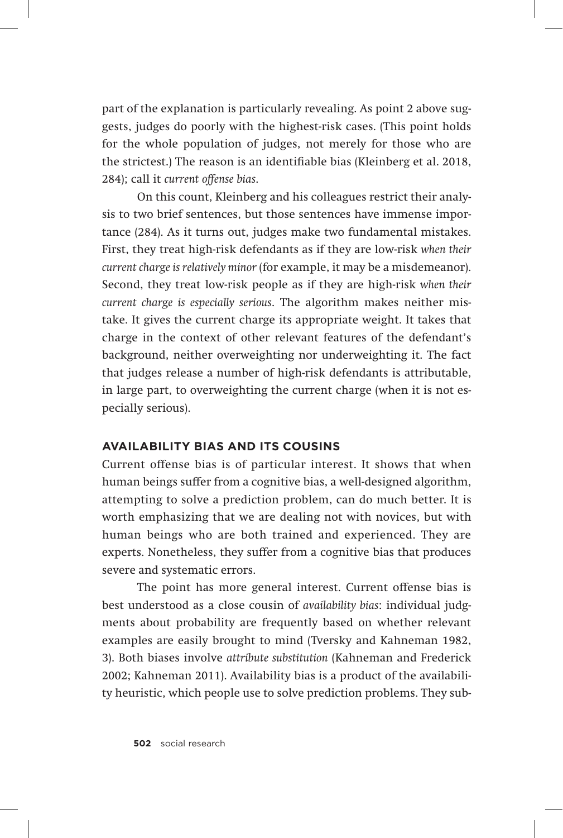part of the explanation is particularly revealing. As point 2 above suggests, judges do poorly with the highest-risk cases. (This point holds for the whole population of judges, not merely for those who are the strictest.) The reason is an identifiable bias (Kleinberg et al. 2018, 284); call it *current offense bias*.

On this count, Kleinberg and his colleagues restrict their analysis to two brief sentences, but those sentences have immense importance (284). As it turns out, judges make two fundamental mistakes. First, they treat high-risk defendants as if they are low-risk *when their current charge is relatively minor* (for example, it may be a misdemeanor). Second, they treat low-risk people as if they are high-risk *when their current charge is especially serious*. The algorithm makes neither mistake. It gives the current charge its appropriate weight. It takes that charge in the context of other relevant features of the defendant's background, neither overweighting nor underweighting it. The fact that judges release a number of high-risk defendants is attributable, in large part, to overweighting the current charge (when it is not especially serious).

### **AVAILABILITY BIAS AND ITS COUSINS**

Current offense bias is of particular interest. It shows that when human beings suffer from a cognitive bias, a well-designed algorithm, attempting to solve a prediction problem, can do much better. It is worth emphasizing that we are dealing not with novices, but with human beings who are both trained and experienced. They are experts. Nonetheless, they suffer from a cognitive bias that produces severe and systematic errors.

The point has more general interest. Current offense bias is best understood as a close cousin of *availability bias*: individual judgments about probability are frequently based on whether relevant examples are easily brought to mind (Tversky and Kahneman 1982, 3). Both biases involve *attribute substitution* (Kahneman and Frederick 2002; Kahneman 2011). Availability bias is a product of the availability heuristic, which people use to solve prediction problems. They sub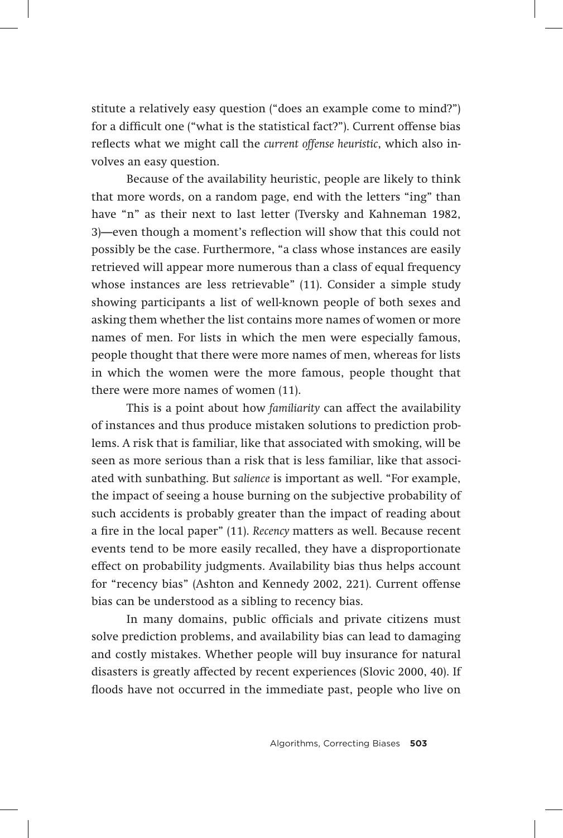stitute a relatively easy question ("does an example come to mind?") for a difficult one ("what is the statistical fact?"). Current offense bias reflects what we might call the *current offense heuristic*, which also involves an easy question.

Because of the availability heuristic, people are likely to think that more words, on a random page, end with the letters "ing" than have "n" as their next to last letter (Tversky and Kahneman 1982, 3)—even though a moment's reflection will show that this could not possibly be the case. Furthermore, "a class whose instances are easily retrieved will appear more numerous than a class of equal frequency whose instances are less retrievable" (11). Consider a simple study showing participants a list of well-known people of both sexes and asking them whether the list contains more names of women or more names of men. For lists in which the men were especially famous, people thought that there were more names of men, whereas for lists in which the women were the more famous, people thought that there were more names of women (11).

This is a point about how *familiarity* can affect the availability of instances and thus produce mistaken solutions to prediction problems. A risk that is familiar, like that associated with smoking, will be seen as more serious than a risk that is less familiar, like that associated with sunbathing. But *salience* is important as well. "For example, the impact of seeing a house burning on the subjective probability of such accidents is probably greater than the impact of reading about a fire in the local paper" (11). *Recency* matters as well. Because recent events tend to be more easily recalled, they have a disproportionate effect on probability judgments. Availability bias thus helps account for "recency bias" (Ashton and Kennedy 2002, 221). Current offense bias can be understood as a sibling to recency bias.

In many domains, public officials and private citizens must solve prediction problems, and availability bias can lead to damaging and costly mistakes. Whether people will buy insurance for natural disasters is greatly affected by recent experiences (Slovic 2000, 40). If floods have not occurred in the immediate past, people who live on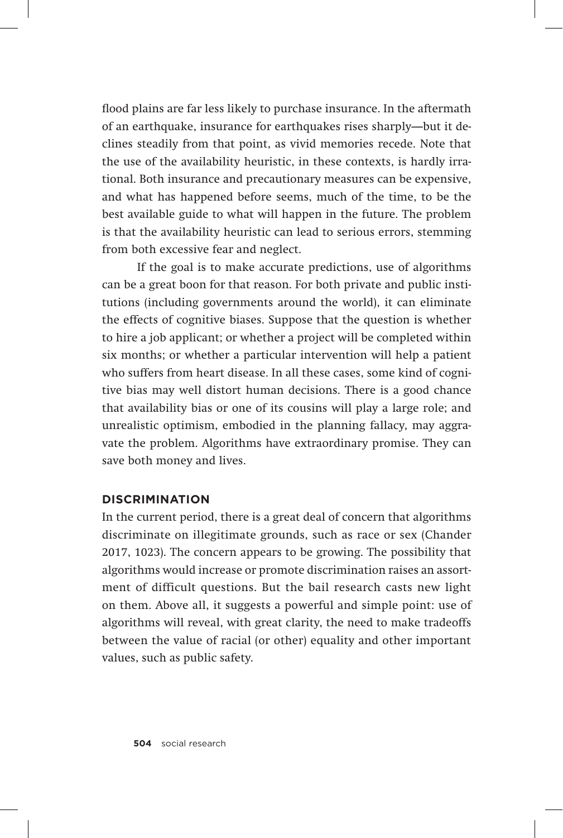flood plains are far less likely to purchase insurance. In the aftermath of an earthquake, insurance for earthquakes rises sharply—but it declines steadily from that point, as vivid memories recede. Note that the use of the availability heuristic, in these contexts, is hardly irrational. Both insurance and precautionary measures can be expensive, and what has happened before seems, much of the time, to be the best available guide to what will happen in the future. The problem is that the availability heuristic can lead to serious errors, stemming from both excessive fear and neglect.

If the goal is to make accurate predictions, use of algorithms can be a great boon for that reason. For both private and public institutions (including governments around the world), it can eliminate the effects of cognitive biases. Suppose that the question is whether to hire a job applicant; or whether a project will be completed within six months; or whether a particular intervention will help a patient who suffers from heart disease. In all these cases, some kind of cognitive bias may well distort human decisions. There is a good chance that availability bias or one of its cousins will play a large role; and unrealistic optimism, embodied in the planning fallacy, may aggravate the problem. Algorithms have extraordinary promise. They can save both money and lives.

#### **DISCRIMINATION**

In the current period, there is a great deal of concern that algorithms discriminate on illegitimate grounds, such as race or sex (Chander 2017, 1023). The concern appears to be growing. The possibility that algorithms would increase or promote discrimination raises an assortment of difficult questions. But the bail research casts new light on them. Above all, it suggests a powerful and simple point: use of algorithms will reveal, with great clarity, the need to make tradeoffs between the value of racial (or other) equality and other important values, such as public safety.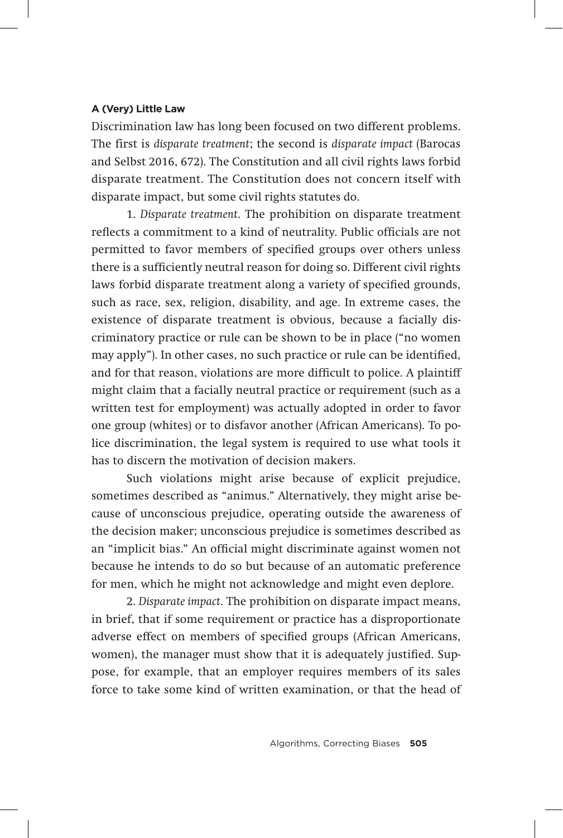#### **A (Very) Little Law**

Discrimination law has long been focused on two different problems. The first is *disparate treatment*; the second is *disparate impact* (Barocas and Selbst 2016, 672). The Constitution and all civil rights laws forbid disparate treatment. The Constitution does not concern itself with disparate impact, but some civil rights statutes do.

1. *Disparate treatment*. The prohibition on disparate treatment reflects a commitment to a kind of neutrality. Public officials are not permitted to favor members of specified groups over others unless there is a sufficiently neutral reason for doing so. Different civil rights laws forbid disparate treatment along a variety of specified grounds, such as race, sex, religion, disability, and age. In extreme cases, the existence of disparate treatment is obvious, because a facially discriminatory practice or rule can be shown to be in place ("no women may apply"). In other cases, no such practice or rule can be identified, and for that reason, violations are more difficult to police. A plaintiff might claim that a facially neutral practice or requirement (such as a written test for employment) was actually adopted in order to favor one group (whites) or to disfavor another (African Americans). To police discrimination, the legal system is required to use what tools it has to discern the motivation of decision makers.

Such violations might arise because of explicit prejudice, sometimes described as "animus." Alternatively, they might arise because of unconscious prejudice, operating outside the awareness of the decision maker; unconscious prejudice is sometimes described as an "implicit bias." An official might discriminate against women not because he intends to do so but because of an automatic preference for men, which he might not acknowledge and might even deplore.

2. *Disparate impact*. The prohibition on disparate impact means, in brief, that if some requirement or practice has a disproportionate adverse effect on members of specified groups (African Americans, women), the manager must show that it is adequately justified. Suppose, for example, that an employer requires members of its sales force to take some kind of written examination, or that the head of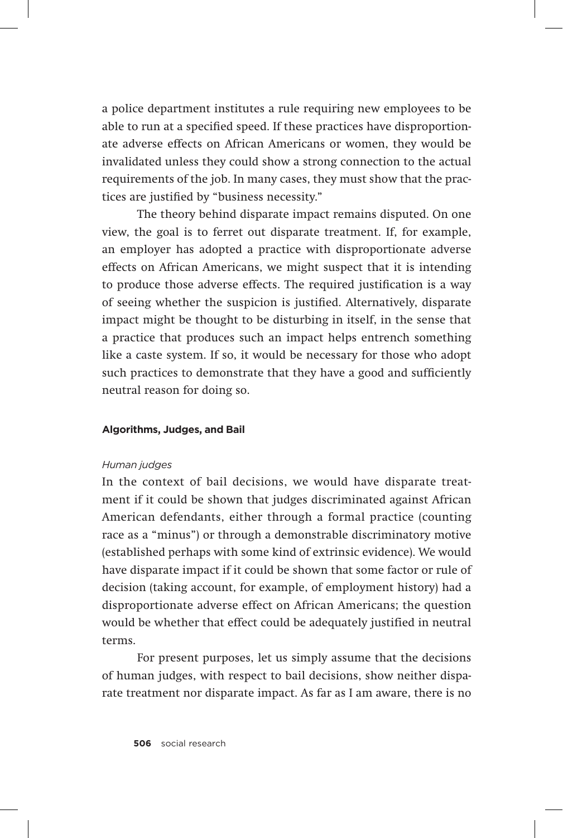a police department institutes a rule requiring new employees to be able to run at a specified speed. If these practices have disproportionate adverse effects on African Americans or women, they would be invalidated unless they could show a strong connection to the actual requirements of the job. In many cases, they must show that the practices are justified by "business necessity."

The theory behind disparate impact remains disputed. On one view, the goal is to ferret out disparate treatment. If, for example, an employer has adopted a practice with disproportionate adverse effects on African Americans, we might suspect that it is intending to produce those adverse effects. The required justification is a way of seeing whether the suspicion is justified. Alternatively, disparate impact might be thought to be disturbing in itself, in the sense that a practice that produces such an impact helps entrench something like a caste system. If so, it would be necessary for those who adopt such practices to demonstrate that they have a good and sufficiently neutral reason for doing so.

#### **Algorithms, Judges, and Bail**

#### *Human judges*

In the context of bail decisions, we would have disparate treatment if it could be shown that judges discriminated against African American defendants, either through a formal practice (counting race as a "minus") or through a demonstrable discriminatory motive (established perhaps with some kind of extrinsic evidence). We would have disparate impact if it could be shown that some factor or rule of decision (taking account, for example, of employment history) had a disproportionate adverse effect on African Americans; the question would be whether that effect could be adequately justified in neutral terms.

For present purposes, let us simply assume that the decisions of human judges, with respect to bail decisions, show neither disparate treatment nor disparate impact. As far as I am aware, there is no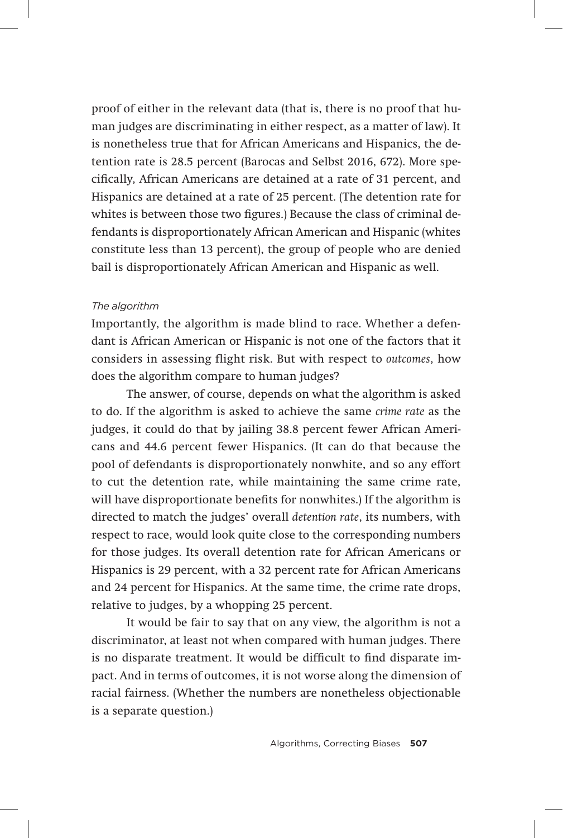proof of either in the relevant data (that is, there is no proof that human judges are discriminating in either respect, as a matter of law). It is nonetheless true that for African Americans and Hispanics, the detention rate is 28.5 percent (Barocas and Selbst 2016, 672). More specifically, African Americans are detained at a rate of 31 percent, and Hispanics are detained at a rate of 25 percent. (The detention rate for whites is between those two figures.) Because the class of criminal defendants is disproportionately African American and Hispanic (whites constitute less than 13 percent), the group of people who are denied bail is disproportionately African American and Hispanic as well.

#### *The algorithm*

Importantly, the algorithm is made blind to race. Whether a defendant is African American or Hispanic is not one of the factors that it considers in assessing flight risk. But with respect to *outcomes*, how does the algorithm compare to human judges?

The answer, of course, depends on what the algorithm is asked to do. If the algorithm is asked to achieve the same *crime rate* as the judges, it could do that by jailing 38.8 percent fewer African Americans and 44.6 percent fewer Hispanics. (It can do that because the pool of defendants is disproportionately nonwhite, and so any effort to cut the detention rate, while maintaining the same crime rate, will have disproportionate benefits for nonwhites.) If the algorithm is directed to match the judges' overall *detention rate*, its numbers, with respect to race, would look quite close to the corresponding numbers for those judges. Its overall detention rate for African Americans or Hispanics is 29 percent, with a 32 percent rate for African Americans and 24 percent for Hispanics. At the same time, the crime rate drops, relative to judges, by a whopping 25 percent.

It would be fair to say that on any view, the algorithm is not a discriminator, at least not when compared with human judges. There is no disparate treatment. It would be difficult to find disparate impact. And in terms of outcomes, it is not worse along the dimension of racial fairness. (Whether the numbers are nonetheless objectionable is a separate question.)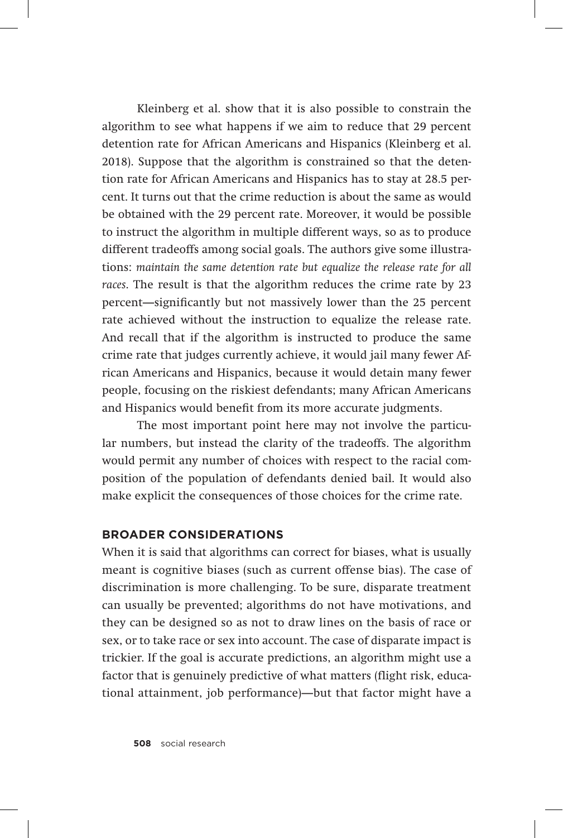Kleinberg et al. show that it is also possible to constrain the algorithm to see what happens if we aim to reduce that 29 percent detention rate for African Americans and Hispanics (Kleinberg et al. 2018). Suppose that the algorithm is constrained so that the detention rate for African Americans and Hispanics has to stay at 28.5 percent. It turns out that the crime reduction is about the same as would be obtained with the 29 percent rate. Moreover, it would be possible to instruct the algorithm in multiple different ways, so as to produce different tradeoffs among social goals. The authors give some illustrations: *maintain the same detention rate but equalize the release rate for all races*. The result is that the algorithm reduces the crime rate by 23 percent—significantly but not massively lower than the 25 percent rate achieved without the instruction to equalize the release rate. And recall that if the algorithm is instructed to produce the same crime rate that judges currently achieve, it would jail many fewer African Americans and Hispanics, because it would detain many fewer people, focusing on the riskiest defendants; many African Americans and Hispanics would benefit from its more accurate judgments.

The most important point here may not involve the particular numbers, but instead the clarity of the tradeoffs. The algorithm would permit any number of choices with respect to the racial composition of the population of defendants denied bail. It would also make explicit the consequences of those choices for the crime rate.

#### **BROADER CONSIDERATIONS**

When it is said that algorithms can correct for biases, what is usually meant is cognitive biases (such as current offense bias). The case of discrimination is more challenging. To be sure, disparate treatment can usually be prevented; algorithms do not have motivations, and they can be designed so as not to draw lines on the basis of race or sex, or to take race or sex into account. The case of disparate impact is trickier. If the goal is accurate predictions, an algorithm might use a factor that is genuinely predictive of what matters (flight risk, educational attainment, job performance)—but that factor might have a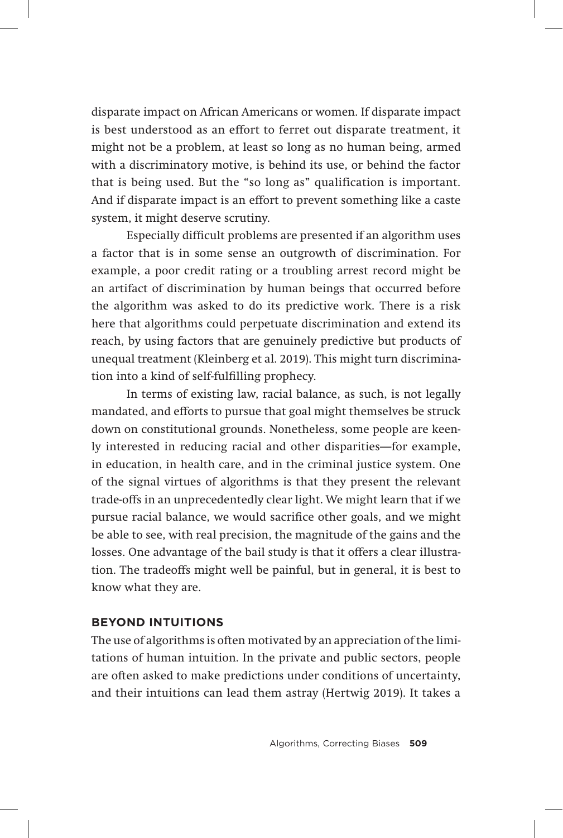disparate impact on African Americans or women. If disparate impact is best understood as an effort to ferret out disparate treatment, it might not be a problem, at least so long as no human being, armed with a discriminatory motive, is behind its use, or behind the factor that is being used. But the "so long as" qualification is important. And if disparate impact is an effort to prevent something like a caste system, it might deserve scrutiny.

Especially difficult problems are presented if an algorithm uses a factor that is in some sense an outgrowth of discrimination. For example, a poor credit rating or a troubling arrest record might be an artifact of discrimination by human beings that occurred before the algorithm was asked to do its predictive work. There is a risk here that algorithms could perpetuate discrimination and extend its reach, by using factors that are genuinely predictive but products of unequal treatment (Kleinberg et al. 2019). This might turn discrimination into a kind of self-fulfilling prophecy.

In terms of existing law, racial balance, as such, is not legally mandated, and efforts to pursue that goal might themselves be struck down on constitutional grounds. Nonetheless, some people are keenly interested in reducing racial and other disparities—for example, in education, in health care, and in the criminal justice system. One of the signal virtues of algorithms is that they present the relevant trade-offs in an unprecedentedly clear light. We might learn that if we pursue racial balance, we would sacrifice other goals, and we might be able to see, with real precision, the magnitude of the gains and the losses. One advantage of the bail study is that it offers a clear illustration. The tradeoffs might well be painful, but in general, it is best to know what they are.

#### **BEYOND INTUITIONS**

The use of algorithms is often motivated by an appreciation of the limitations of human intuition. In the private and public sectors, people are often asked to make predictions under conditions of uncertainty, and their intuitions can lead them astray (Hertwig 2019). It takes a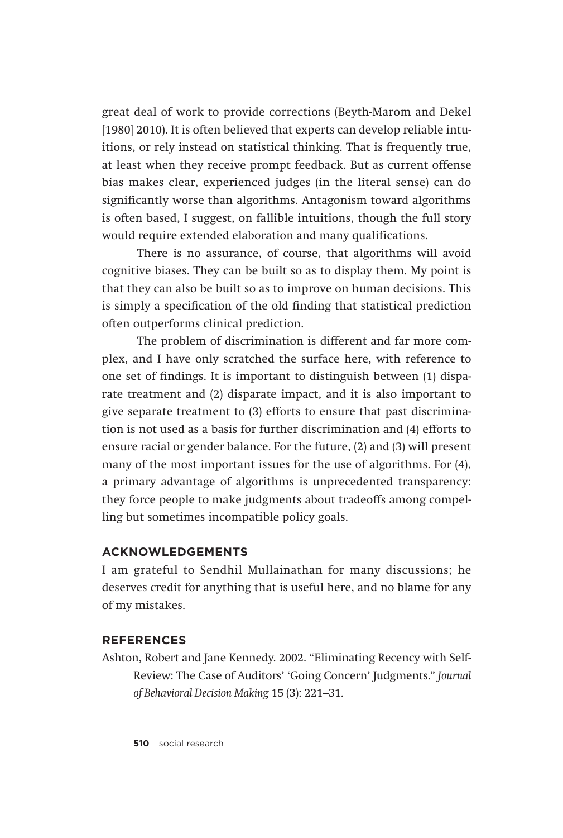great deal of work to provide corrections (Beyth-Marom and Dekel [1980] 2010). It is often believed that experts can develop reliable intuitions, or rely instead on statistical thinking. That is frequently true, at least when they receive prompt feedback. But as current offense bias makes clear, experienced judges (in the literal sense) can do significantly worse than algorithms. Antagonism toward algorithms is often based, I suggest, on fallible intuitions, though the full story would require extended elaboration and many qualifications.

There is no assurance, of course, that algorithms will avoid cognitive biases. They can be built so as to display them. My point is that they can also be built so as to improve on human decisions. This is simply a specification of the old finding that statistical prediction often outperforms clinical prediction.

The problem of discrimination is different and far more complex, and I have only scratched the surface here, with reference to one set of findings. It is important to distinguish between (1) disparate treatment and (2) disparate impact, and it is also important to give separate treatment to (3) efforts to ensure that past discrimination is not used as a basis for further discrimination and (4) efforts to ensure racial or gender balance. For the future, (2) and (3) will present many of the most important issues for the use of algorithms. For (4), a primary advantage of algorithms is unprecedented transparency: they force people to make judgments about tradeoffs among compelling but sometimes incompatible policy goals.

#### **ACKNOWLEDGEMENTS**

I am grateful to Sendhil Mullainathan for many discussions; he deserves credit for anything that is useful here, and no blame for any of my mistakes.

#### **REFERENCES**

Ashton, Robert and Jane Kennedy. 2002. "Eliminating Recency with Self-Review: The Case of Auditors' 'Going Concern' Judgments." *Journal of Behavioral Decision Making* 15 (3): 221–31.